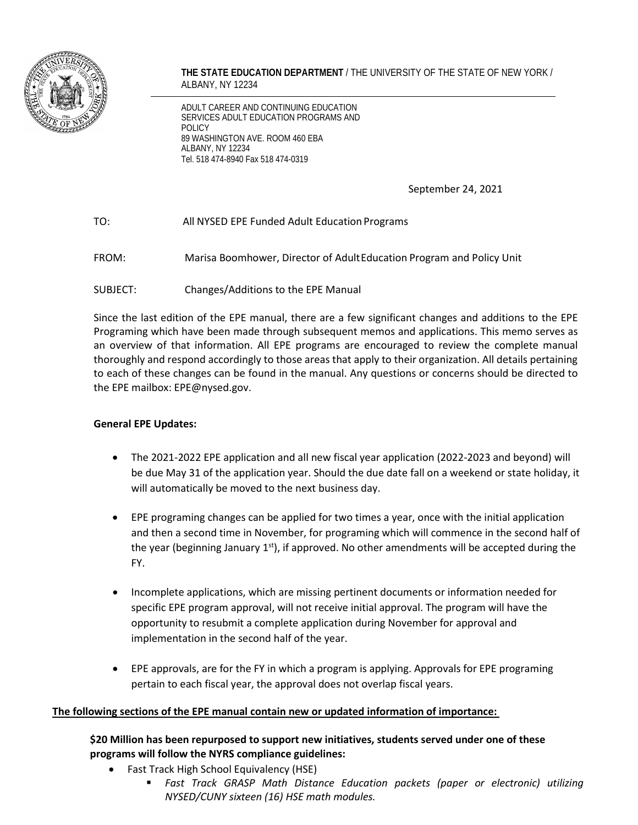

**THE STATE EDUCATION DEPARTMENT** / THE UNIVERSITY OF THE STATE OF NEW YORK / ALBANY, NY 12234

ADULT CAREER AND CONTINUING EDUCATION SERVICES ADULT EDUCATION PROGRAMS AND POLICY 89 WASHINGTON AVE. ROOM 460 EBA ALBANY, NY 12234 Tel. 518 474-8940 Fax 518 474-0319

September 24, 2021

# TO: All NYSED EPE Funded Adult EducationPrograms

FROM: Marisa Boomhower, Director of AdultEducation Program and Policy Unit

SUBJECT: Changes/Additions to the EPE Manual

Since the last edition of the EPE manual, there are a few significant changes and additions to the EPE Programing which have been made through subsequent memos and applications. This memo serves as an overview of that information. All EPE programs are encouraged to review the complete manual thoroughly and respond accordingly to those areas that apply to their organization. All details pertaining to each of these changes can be found in the manual. Any questions or concerns should be directed to the EPE mailbox: EPE@nysed.gov.

#### **General EPE Updates:**

- The 2021-2022 EPE application and all new fiscal year application (2022-2023 and beyond) will be due May 31 of the application year. Should the due date fall on a weekend or state holiday, it will automatically be moved to the next business day.
- EPE programing changes can be applied for two times a year, once with the initial application and then a second time in November, for programing which will commence in the second half of the year (beginning January  $1<sup>st</sup>$ ), if approved. No other amendments will be accepted during the FY.
- Incomplete applications, which are missing pertinent documents or information needed for specific EPE program approval, will not receive initial approval. The program will have the opportunity to resubmit a complete application during November for approval and implementation in the second half of the year.
- EPE approvals, are for the FY in which a program is applying. Approvals for EPE programing pertain to each fiscal year, the approval does not overlap fiscal years.

#### **The following sections of the EPE manual contain new or updated information of importance:**

# **\$20 Million has been repurposed to support new initiatives, students served under one of these programs will follow the NYRS compliance guidelines:**

- Fast Track High School Equivalency (HSE)
	- *Fast Track GRASP Math Distance Education packets (paper or electronic) utilizing NYSED/CUNY sixteen (16) HSE math modules.*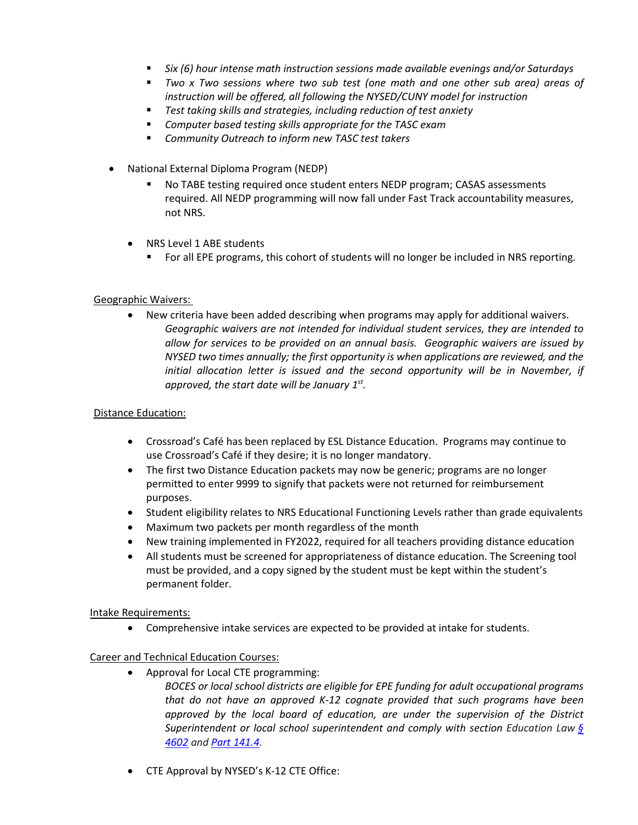- *Six (6) hour intense math instruction sessions made available evenings and/or Saturdays*
- *Two x Two sessions where two sub test (one math and one other sub area) areas of instruction will be offered, all following the NYSED/CUNY model for instruction*
- *Test taking skills and strategies, including reduction of test anxiety*
- *Computer based testing skills appropriate for the TASC exam*
- *Community Outreach to inform new TASC test takers*
- National External Diploma Program (NEDP)
	- No TABE testing required once student enters NEDP program; CASAS assessments required. All NEDP programming will now fall under Fast Track accountability measures, not NRS.
	- NRS Level 1 ABE students
		- For all EPE programs, this cohort of students will no longer be included in NRS reporting.

### Geographic Waivers:

• New criteria have been added describing when programs may apply for additional waivers. *Geographic waivers are not intended for individual student services, they are intended to allow for services to be provided on an annual basis. Geographic waivers are issued by NYSED two times annually; the first opportunity is when applications are reviewed, and the initial allocation letter is issued and the second opportunity will be in November, if approved, the start date will be January 1st.* 

#### Distance Education:

- Crossroad's Café has been replaced by ESL Distance Education. Programs may continue to use Crossroad's Café if they desire; it is no longer mandatory.
- The first two Distance Education packets may now be generic; programs are no longer permitted to enter 9999 to signify that packets were not returned for reimbursement purposes.
- Student eligibility relates to NRS Educational Functioning Levels rather than grade equivalents
- Maximum two packets per month regardless of the month
- New training implemented in FY2022, required for all teachers providing distance education
- All students must be screened for appropriateness of distance education. The Screening tool must be provided, and a copy signed by the student must be kept within the student's permanent folder.

Intake Requirements:

• Comprehensive intake services are expected to be provided at intake for students.

#### Career and Technical Education Courses:

- Approval for Local CTE programming:
	- *BOCES or local school districts are eligible for EPE funding for adult occupational programs that do not have an approved K-12 cognate provided that such programs have been approved by the local board of education, are under the supervision of the District Superintendent or local school superintendent and comply with section Education Law [§](https://nam10.safelinks.protection.outlook.com/?url=https%3A%2F%2Fwww.nysenate.gov%2Flegislation%2Flaws%2FEDN%2F4602&data=04%7C01%7CRosemary.Matt%40cayuga-cc.edu%7C08429b4e57924267ab9b08d900e674d7%7C8e3b3c3c334542d5aa04d642aa2334f2%7C1%7C0%7C637541812086526937%7CUnknown%7CTWFpbGZsb3d8eyJWIjoiMC4wLjAwMDAiLCJQIjoiV2luMzIiLCJBTiI6Ik1haWwiLCJXVCI6Mn0%3D%7C1000&sdata=tzPqh77g64JiOgIhUj5dDBPt3ERQo8ZTuhm2hilsut4%3D&reserved=0) [4602](https://nam10.safelinks.protection.outlook.com/?url=https%3A%2F%2Fwww.nysenate.gov%2Flegislation%2Flaws%2FEDN%2F4602&data=04%7C01%7CRosemary.Matt%40cayuga-cc.edu%7C08429b4e57924267ab9b08d900e674d7%7C8e3b3c3c334542d5aa04d642aa2334f2%7C1%7C0%7C637541812086526937%7CUnknown%7CTWFpbGZsb3d8eyJWIjoiMC4wLjAwMDAiLCJQIjoiV2luMzIiLCJBTiI6Ik1haWwiLCJXVCI6Mn0%3D%7C1000&sdata=tzPqh77g64JiOgIhUj5dDBPt3ERQo8ZTuhm2hilsut4%3D&reserved=0) and Part [141.4.](https://nam10.safelinks.protection.outlook.com/?url=https%3A%2F%2Fgovt.westlaw.com%2Fnycrr%2FDocument%2FI365ca222c22211ddb29d8bee567fca9f%3FviewType%3DFullText%26originationContext%3Ddocumenttoc%26transitionType%3DCategoryPageItem%26contextData%3D(sc.Default)&data=04%7C01%7CRosemary.Matt%40cayuga-cc.edu%7C08429b4e57924267ab9b08d900e674d7%7C8e3b3c3c334542d5aa04d642aa2334f2%7C1%7C0%7C637541812086526937%7CUnknown%7CTWFpbGZsb3d8eyJWIjoiMC4wLjAwMDAiLCJQIjoiV2luMzIiLCJBTiI6Ik1haWwiLCJXVCI6Mn0%3D%7C1000&sdata=V1orCQrcBGI6ET8GIPtDnHYAmHTa1Mf%2B3UOLsyXF7io%3D&reserved=0)*
- CTE Approval by NYSED's K-12 CTE Office: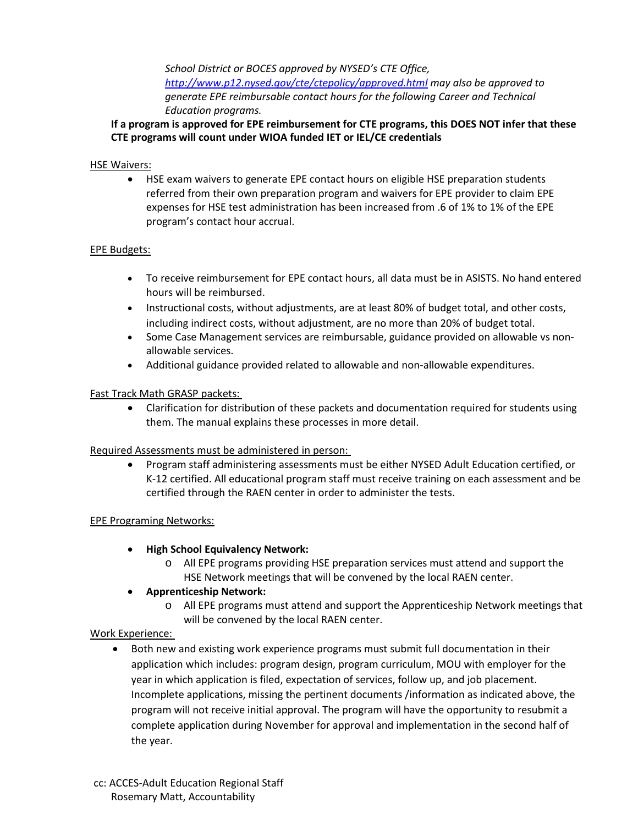*School District or BOCES approved by NYSED's CTE Office, <http://www.p12.nysed.gov/cte/ctepolicy/approved.html> may also be approved to generate EPE reimbursable contact hours for the following Career and Technical Education programs.* 

### **If a program is approved for EPE reimbursement for CTE programs, this DOES NOT infer that these CTE programs will count under WIOA funded IET or IEL/CE credentials**

#### HSE Waivers:

• HSE exam waivers to generate EPE contact hours on eligible HSE preparation students referred from their own preparation program and waivers for EPE provider to claim EPE expenses for HSE test administration has been increased from .6 of 1% to 1% of the EPE program's contact hour accrual.

### EPE Budgets:

- To receive reimbursement for EPE contact hours, all data must be in ASISTS. No hand entered hours will be reimbursed.
- Instructional costs, without adjustments, are at least 80% of budget total, and other costs, including indirect costs, without adjustment, are no more than 20% of budget total.
- Some Case Management services are reimbursable, guidance provided on allowable vs nonallowable services.
- Additional guidance provided related to allowable and non-allowable expenditures.

### Fast Track Math GRASP packets:

• Clarification for distribution of these packets and documentation required for students using them. The manual explains these processes in more detail.

# Required Assessments must be administered in person:

• Program staff administering assessments must be either NYSED Adult Education certified, or K-12 certified. All educational program staff must receive training on each assessment and be certified through the RAEN center in order to administer the tests.

# EPE Programing Networks:

- **High School Equivalency Network:** 
	- o All EPE programs providing HSE preparation services must attend and support the HSE Network meetings that will be convened by the local RAEN center.

# • **Apprenticeship Network:**

o All EPE programs must attend and support the Apprenticeship Network meetings that will be convened by the local RAEN center.

# Work Experience:

• Both new and existing work experience programs must submit full documentation in their application which includes: program design, program curriculum, MOU with employer for the year in which application is filed, expectation of services, follow up, and job placement. Incomplete applications, missing the pertinent documents /information as indicated above, the program will not receive initial approval. The program will have the opportunity to resubmit a complete application during November for approval and implementation in the second half of the year.